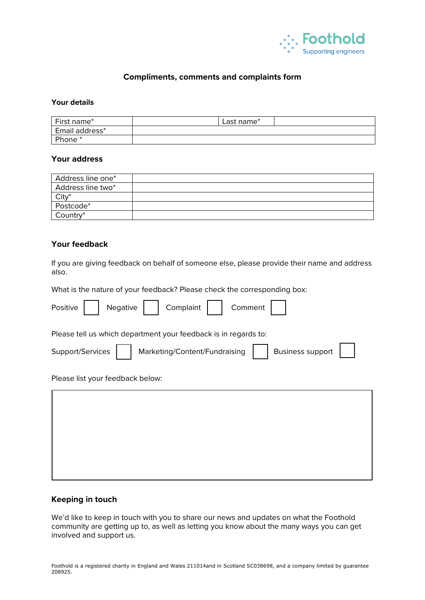

# **Compliments, comments and complaints form**

#### **Your details**

| First name*        | $\textsf{\small \textsf{Last name}}^*$ |  |
|--------------------|----------------------------------------|--|
| Email address*     |                                        |  |
| Phone <sup>*</sup> |                                        |  |

### **Your address**

| Address line one* |  |
|-------------------|--|
| Address line two* |  |
| $City^*$          |  |
| Postcode*         |  |
| Country*          |  |

## **Your feedback**

If you are giving feedback on behalf of someone else, please provide their name and address also.

What is the nature of your feedback? Please check the corresponding box:

### **Keeping in touch**

We'd like to keep in touch with you to share our news and updates on what the Foothold community are getting up to, as well as letting you know about the many ways you can get involved and support us.